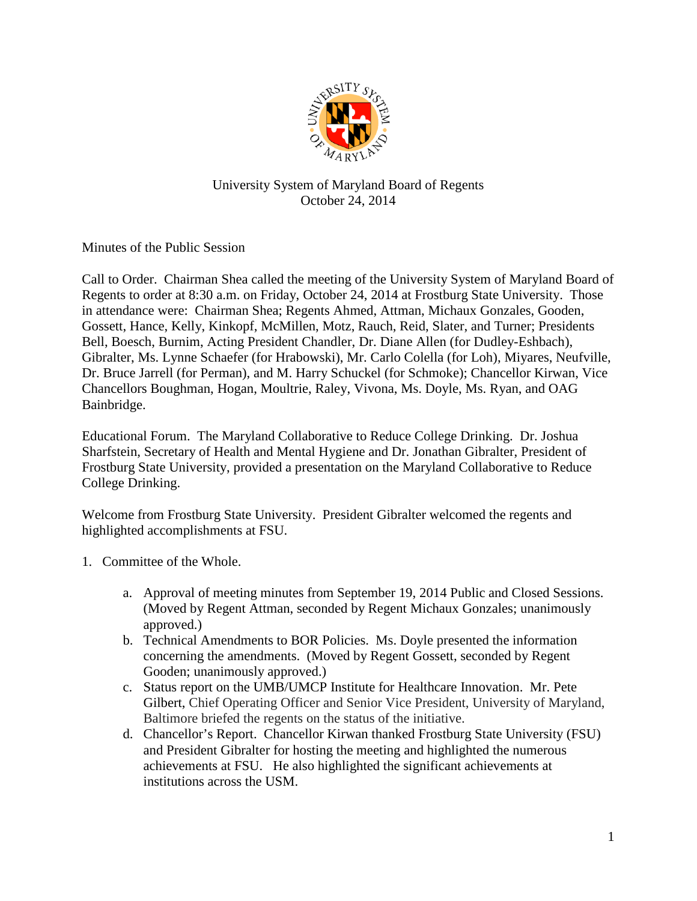

## University System of Maryland Board of Regents October 24, 2014

Minutes of the Public Session

Call to Order. Chairman Shea called the meeting of the University System of Maryland Board of Regents to order at 8:30 a.m. on Friday, October 24, 2014 at Frostburg State University. Those in attendance were: Chairman Shea; Regents Ahmed, Attman, Michaux Gonzales, Gooden, Gossett, Hance, Kelly, Kinkopf, McMillen, Motz, Rauch, Reid, Slater, and Turner; Presidents Bell, Boesch, Burnim, Acting President Chandler, Dr. Diane Allen (for Dudley-Eshbach), Gibralter, Ms. Lynne Schaefer (for Hrabowski), Mr. Carlo Colella (for Loh), Miyares, Neufville, Dr. Bruce Jarrell (for Perman), and M. Harry Schuckel (for Schmoke); Chancellor Kirwan, Vice Chancellors Boughman, Hogan, Moultrie, Raley, Vivona, Ms. Doyle, Ms. Ryan, and OAG Bainbridge.

Educational Forum. The Maryland Collaborative to Reduce College Drinking. Dr. Joshua Sharfstein, Secretary of Health and Mental Hygiene and Dr. Jonathan Gibralter, President of Frostburg State University, provided a presentation on the Maryland Collaborative to Reduce College Drinking.

Welcome from Frostburg State University. President Gibralter welcomed the regents and highlighted accomplishments at FSU.

- 1. Committee of the Whole.
	- a. Approval of meeting minutes from September 19, 2014 Public and Closed Sessions. (Moved by Regent Attman, seconded by Regent Michaux Gonzales; unanimously approved.)
	- b. Technical Amendments to BOR Policies. Ms. Doyle presented the information concerning the amendments. (Moved by Regent Gossett, seconded by Regent Gooden; unanimously approved.)
	- c. Status report on the UMB/UMCP Institute for Healthcare Innovation. Mr. Pete Gilbert, Chief Operating Officer and Senior Vice President, University of Maryland, Baltimore briefed the regents on the status of the initiative.
	- d. Chancellor's Report. Chancellor Kirwan thanked Frostburg State University (FSU) and President Gibralter for hosting the meeting and highlighted the numerous achievements at FSU. He also highlighted the significant achievements at institutions across the USM.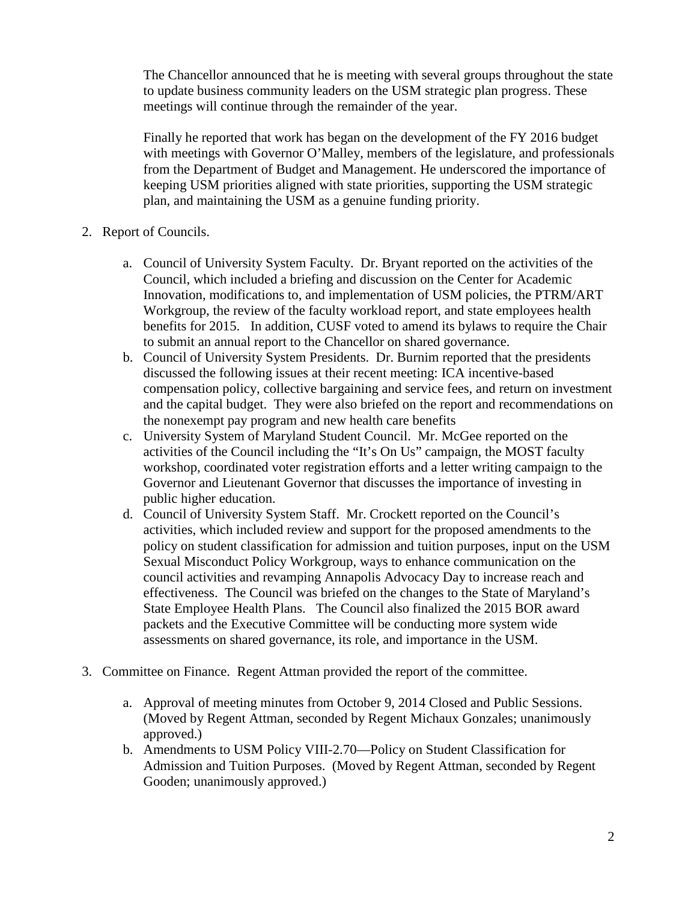The Chancellor announced that he is meeting with several groups throughout the state to update business community leaders on the USM strategic plan progress. These meetings will continue through the remainder of the year.

Finally he reported that work has began on the development of the FY 2016 budget with meetings with Governor O'Malley, members of the legislature, and professionals from the Department of Budget and Management. He underscored the importance of keeping USM priorities aligned with state priorities, supporting the USM strategic plan, and maintaining the USM as a genuine funding priority.

- 2. Report of Councils.
	- a. Council of University System Faculty. Dr. Bryant reported on the activities of the Council, which included a briefing and discussion on the Center for Academic Innovation, modifications to, and implementation of USM policies, the PTRM/ART Workgroup, the review of the faculty workload report, and state employees health benefits for 2015. In addition, CUSF voted to amend its bylaws to require the Chair to submit an annual report to the Chancellor on shared governance.
	- b. Council of University System Presidents. Dr. Burnim reported that the presidents discussed the following issues at their recent meeting: ICA incentive-based compensation policy, collective bargaining and service fees, and return on investment and the capital budget. They were also briefed on the report and recommendations on the nonexempt pay program and new health care benefits
	- c. University System of Maryland Student Council. Mr. McGee reported on the activities of the Council including the "It's On Us" campaign, the MOST faculty workshop, coordinated voter registration efforts and a letter writing campaign to the Governor and Lieutenant Governor that discusses the importance of investing in public higher education.
	- d. Council of University System Staff. Mr. Crockett reported on the Council's activities, which included review and support for the proposed amendments to the policy on student classification for admission and tuition purposes, input on the USM Sexual Misconduct Policy Workgroup, ways to enhance communication on the council activities and revamping Annapolis Advocacy Day to increase reach and effectiveness. The Council was briefed on the changes to the State of Maryland's State Employee Health Plans. The Council also finalized the 2015 BOR award packets and the Executive Committee will be conducting more system wide assessments on shared governance, its role, and importance in the USM.
- 3. Committee on Finance. Regent Attman provided the report of the committee.
	- a. Approval of meeting minutes from October 9, 2014 Closed and Public Sessions. (Moved by Regent Attman, seconded by Regent Michaux Gonzales; unanimously approved.)
	- b. Amendments to USM Policy VIII-2.70—Policy on Student Classification for Admission and Tuition Purposes. (Moved by Regent Attman, seconded by Regent Gooden; unanimously approved.)